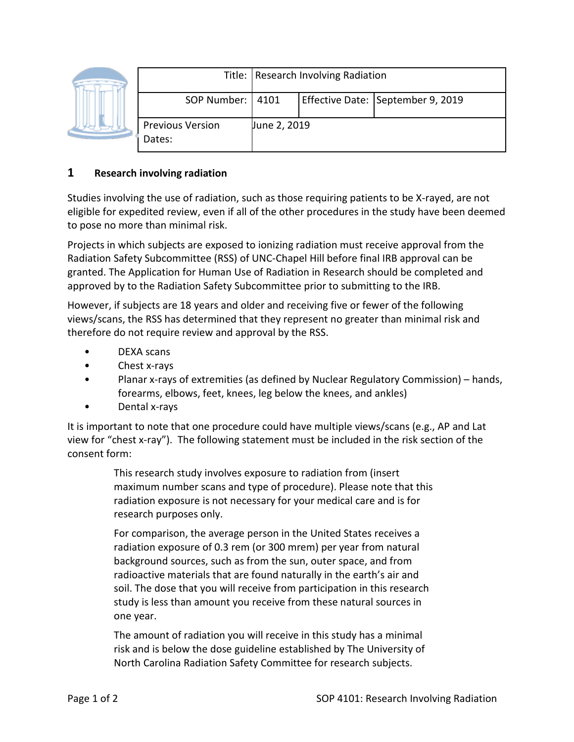|  |                                   | Title: Research Involving Radiation |  |                                   |
|--|-----------------------------------|-------------------------------------|--|-----------------------------------|
|  | SOP Number:   4101                |                                     |  | Effective Date: September 9, 2019 |
|  | <b>Previous Version</b><br>Dates: | June 2, 2019                        |  |                                   |

## **1 Research involving radiation**

Studies involving the use of radiation, such as those requiring patients to be X-rayed, are not eligible for expedited review, even if all of the other procedures in the study have been deemed to pose no more than minimal risk.

Projects in which subjects are exposed to ionizing radiation must receive approval from the Radiation Safety Subcommittee (RSS) of UNC-Chapel Hill before final IRB approval can be granted. The Application for Human Use of Radiation in Research should be completed and approved by to the Radiation Safety Subcommittee prior to submitting to the IRB.

However, if subjects are 18 years and older and receiving five or fewer of the following views/scans, the RSS has determined that they represent no greater than minimal risk and therefore do not require review and approval by the RSS.

- DEXA scans
- Chest x-rays
- Planar x-rays of extremities (as defined by Nuclear Regulatory Commission) hands, forearms, elbows, feet, knees, leg below the knees, and ankles)
- Dental x-rays

It is important to note that one procedure could have multiple views/scans (e.g., AP and Lat view for "chest x-ray"). The following statement must be included in the risk section of the consent form:

> This research study involves exposure to radiation from (insert maximum number scans and type of procedure). Please note that this radiation exposure is not necessary for your medical care and is for research purposes only.

For comparison, the average person in the United States receives a radiation exposure of 0.3 rem (or 300 mrem) per year from natural background sources, such as from the sun, outer space, and from radioactive materials that are found naturally in the earth's air and soil. The dose that you will receive from participation in this research study is less than amount you receive from these natural sources in one year.

The amount of radiation you will receive in this study has a minimal risk and is below the dose guideline established by The University of North Carolina Radiation Safety Committee for research subjects.